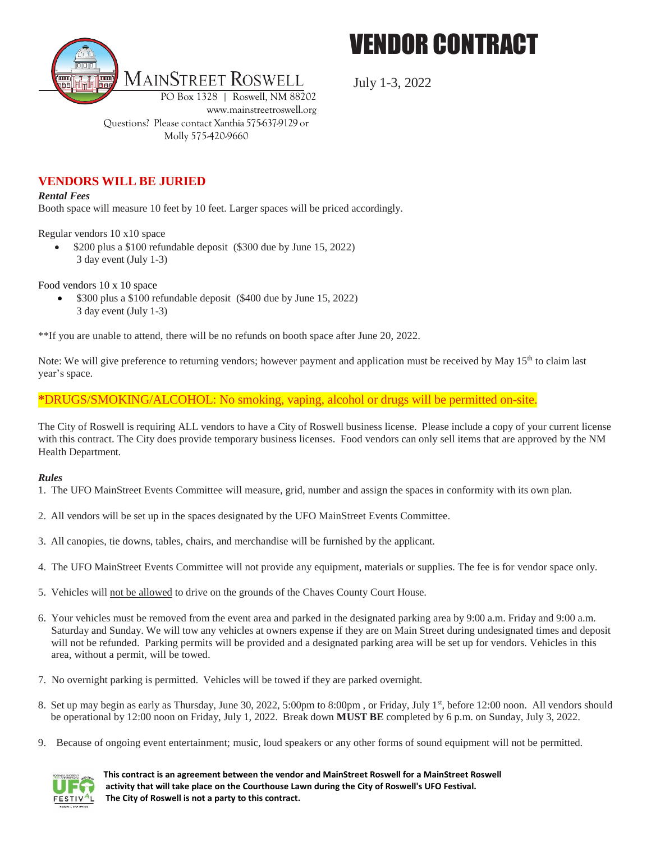



July 1-3, 2022

**VENDORS WILL BE JURIED**

*Rental Fees*

Booth space will measure 10 feet by 10 feet. Larger spaces will be priced accordingly.

Regular vendors 10 x10 space

 \$200 plus a \$100 refundable deposit (\$300 due by June 15, 2022) 3 day event (July 1-3)

Molly 575-420-9660

Food vendors 10 x 10 space

• \$300 plus a \$100 refundable deposit (\$400 due by June 15, 2022) 3 day event (July 1-3)

\*\*If you are unable to attend, there will be no refunds on booth space after June 20, 2022.

Note: We will give preference to returning vendors; however payment and application must be received by May 15<sup>th</sup> to claim last year's space.

**\***DRUGS/SMOKING/ALCOHOL: No smoking, vaping, alcohol or drugs will be permitted on-site.

The City of Roswell is requiring ALL vendors to have a City of Roswell business license. Please include a copy of your current license with this contract. The City does provide temporary business licenses. Food vendors can only sell items that are approved by the NM Health Department.

#### *Rules*

- 1. The UFO MainStreet Events Committee will measure, grid, number and assign the spaces in conformity with its own plan.
- 2. All vendors will be set up in the spaces designated by the UFO MainStreet Events Committee.
- 3. All canopies, tie downs, tables, chairs, and merchandise will be furnished by the applicant.
- 4. The UFO MainStreet Events Committee will not provide any equipment, materials or supplies. The fee is for vendor space only.
- 5. Vehicles will not be allowed to drive on the grounds of the Chaves County Court House.
- 6. Your vehicles must be removed from the event area and parked in the designated parking area by 9:00 a.m. Friday and 9:00 a.m. Saturday and Sunday. We will tow any vehicles at owners expense if they are on Main Street during undesignated times and deposit will not be refunded. Parking permits will be provided and a designated parking area will be set up for vendors. Vehicles in this area, without a permit, will be towed.
- 7. No overnight parking is permitted. Vehicles will be towed if they are parked overnight.
- 8. Set up may begin as early as Thursday, June 30, 2022, 5:00pm to 8:00pm, or Friday, July 1st, before 12:00 noon. All vendors should be operational by 12:00 noon on Friday, July 1, 2022. Break down **MUST BE** completed by 6 p.m. on Sunday, July 3, 2022.
- 9. Because of ongoing event entertainment; music, loud speakers or any other forms of sound equipment will not be permitted.

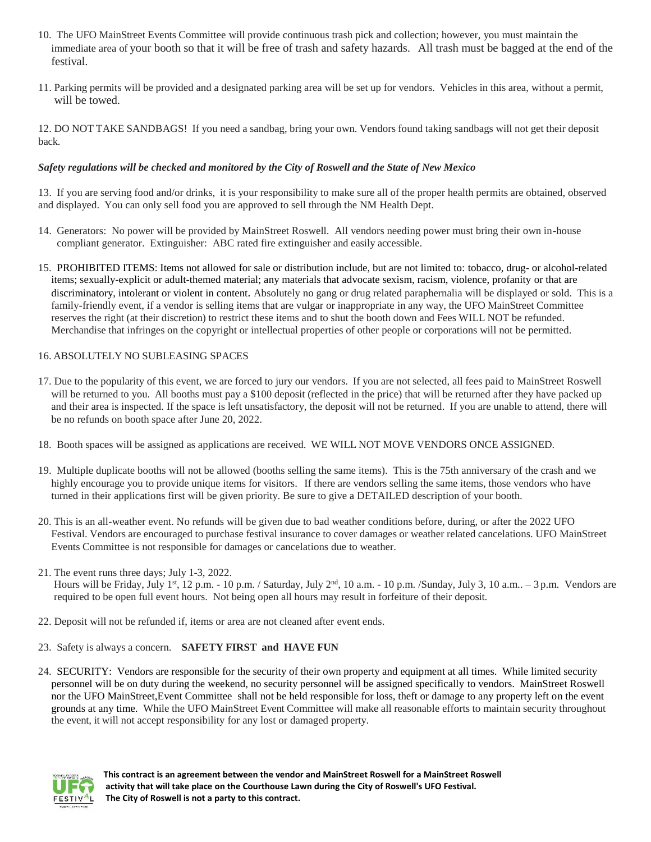- 10. The UFO MainStreet Events Committee will provide continuous trash pick and collection; however, you must maintain the immediate area of your booth so that it will be free of trash and safety hazards. All trash must be bagged at the end of the festival.
- 11. Parking permits will be provided and a designated parking area will be set up for vendors. Vehicles in this area, without a permit, will be towed.

12. DO NOT TAKE SANDBAGS! If you need a sandbag, bring your own. Vendors found taking sandbags will not get their deposit back.

### *Safety regulations will be checked and monitored by the City of Roswell and the State of New Mexico*

13. If you are serving food and/or drinks, it is your responsibility to make sure all of the proper health permits are obtained, observed and displayed. You can only sell food you are approved to sell through the NM Health Dept.

- 14. Generators: No power will be provided by MainStreet Roswell. All vendors needing power must bring their own in-house compliant generator. Extinguisher: ABC rated fire extinguisher and easily accessible.
- 15. PROHIBITED ITEMS: Items not allowed for sale or distribution include, but are not limited to: tobacco, drug- or alcohol-related items; sexually-explicit or adult-themed material; any materials that advocate sexism, racism, violence, profanity or that are discriminatory, intolerant or violent in content. Absolutely no gang or drug related paraphernalia will be displayed or sold. This is a family-friendly event, if a vendor is selling items that are vulgar or inappropriate in any way, the UFO MainStreet Committee reserves the right (at their discretion) to restrict these items and to shut the booth down and Fees WILL NOT be refunded. Merchandise that infringes on the copyright or intellectual properties of other people or corporations will not be permitted.

#### 16. ABSOLUTELY NO SUBLEASING SPACES

- 17. Due to the popularity of this event, we are forced to jury our vendors. If you are not selected, all fees paid to MainStreet Roswell will be returned to you. All booths must pay a \$100 deposit (reflected in the price) that will be returned after they have packed up and their area is inspected. If the space is left unsatisfactory, the deposit will not be returned. If you are unable to attend, there will be no refunds on booth space after June 20, 2022.
- 18. Booth spaces will be assigned as applications are received. WE WILL NOT MOVE VENDORS ONCE ASSIGNED.
- 19. Multiple duplicate booths will not be allowed (booths selling the same items). This is the 75th anniversary of the crash and we highly encourage you to provide unique items for visitors. If there are vendors selling the same items, those vendors who have turned in their applications first will be given priority. Be sure to give a DETAILED description of your booth.
- 20. This is an all-weather event. No refunds will be given due to bad weather conditions before, during, or after the 2022 UFO Festival. Vendors are encouraged to purchase festival insurance to cover damages or weather related cancelations. UFO MainStreet Events Committee is not responsible for damages or cancelations due to weather.

#### 21. The event runs three days; July 1-3, 2022.

- Hours will be Friday, July 1<sup>st</sup>, 12 p.m. 10 p.m. / Saturday, July 2<sup>nd</sup>, 10 a.m. 10 p.m. /Sunday, July 3, 10 a.m.. 3 p.m. Vendors are required to be open full event hours. Not being open all hours may result in forfeiture of their deposit.
- 22. Deposit will not be refunded if, items or area are not cleaned after event ends.

#### 23. Safety is always a concern. **SAFETY FIRST and HAVE FUN**

24. SECURITY: Vendors are responsible for the security of their own property and equipment at all times. While limited security personnel will be on duty during the weekend, no security personnel will be assigned specifically to vendors. MainStreet Roswell nor the UFO MainStreet,Event Committee shall not be held responsible for loss, theft or damage to any property left on the event grounds at any time. While the UFO MainStreet Event Committee will make all reasonable efforts to maintain security throughout the event, it will not accept responsibility for any lost or damaged property.

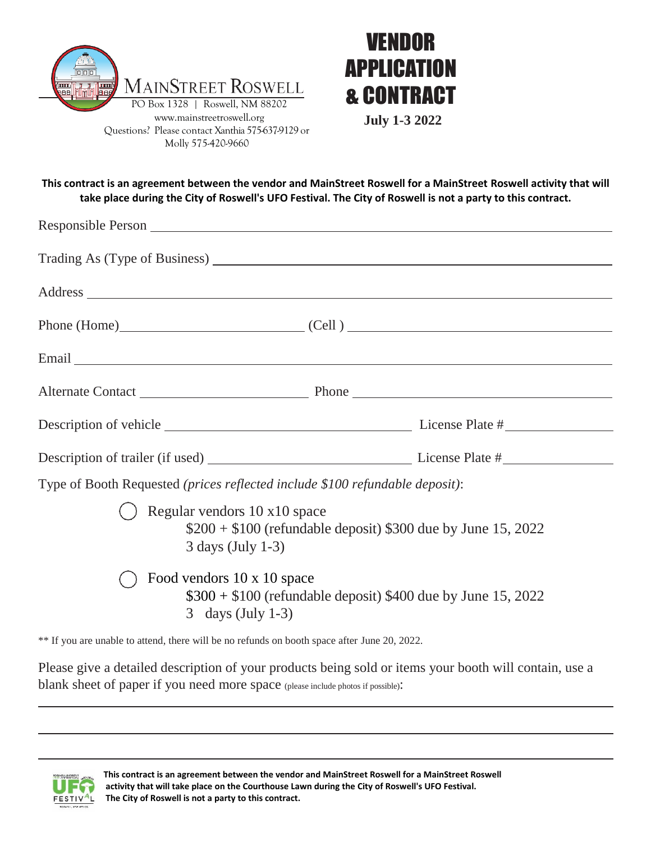



**July 1-3 2022**

**This contract is an agreement between the vendor and MainStreet Roswell for a MainStreet Roswell activity that will take place during the City of Roswell's UFO Festival. The City of Roswell is not a party to this contract.**

| Trading As (Type of Business) Manual Manual Manual Manual Manual Manual Manual Manual Manual Manual Manual Manual Manual Manual Manual Manual Manual Manual Manual Manual Manual Manual Manual Manual Manual Manual Manual Man                                |  |
|---------------------------------------------------------------------------------------------------------------------------------------------------------------------------------------------------------------------------------------------------------------|--|
|                                                                                                                                                                                                                                                               |  |
| $Phone (Home)$ $(Cell)$ $)$ $Cell$ $)$ $(Cell)$ $(Cell)$ $(I)$ $(II)$ $(III)$ $(III)$ $(III)$ $(III)$ $(III)$ $(III)$ $(III)$ $(III)$ $(III)$ $(III)$ $(III)$ $(III)$ $(III)$ $(III)$ $(III)$ $(III)$ $(III)$ $(III)$ $(III)$ $(III)$ $(III)$ $(III)$ $(III)$ |  |
|                                                                                                                                                                                                                                                               |  |
|                                                                                                                                                                                                                                                               |  |
|                                                                                                                                                                                                                                                               |  |
|                                                                                                                                                                                                                                                               |  |
| Type of Booth Requested (prices reflected include \$100 refundable deposit):                                                                                                                                                                                  |  |
| Regular vendors 10 x 10 space<br>$$200 + $100$ (refundable deposit) \$300 due by June 15, 2022<br>$3$ days (July 1-3)<br>Food vendors 10 x 10 space<br>$$300 + $100$ (refundable deposit) \$400 due by June 15, 2022<br>3 days (July 1-3)                     |  |

\*\* If you are unable to attend, there will be no refunds on booth space after June 20, 2022.

Please give a detailed description of your products being sold or items your booth will contain, use a blank sheet of paper if you need more space (please include photos if possible):